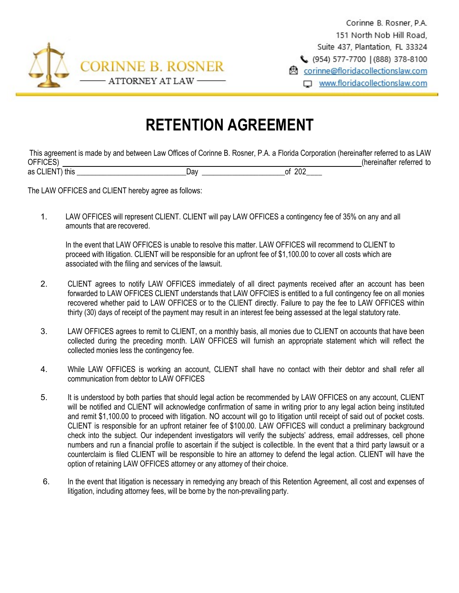

Corinne B. Rosner, P.A. 151 North Nob Hill Road. Suite 437, Plantation, FL 33324 (954) 577-7700 (888) 378-8100 **图** corinne@floridacollectionslaw.com □ www.floridacollectionslaw.com

## **RETENTION AGREEMENT**

This agreement is made by and between Law Offices of Corinne B. Rosner, P.A. a Florida Corporation (hereinafter referred to as LAW OFFICES) [2000] (hereinafter referred to a set of the set of the set of the set of the set of the set of the set of the set of the set of the set of the set of the set of the set of the set of the set of the set of the set as CLIENT) this \_\_\_\_\_\_\_\_\_\_\_\_\_\_\_\_\_\_\_\_\_\_\_\_\_\_\_\_\_Day \_\_\_\_\_\_\_\_\_\_\_\_\_\_\_\_\_\_\_\_\_\_of 202\_\_\_\_

The LAW OFFICES and CLIENT hereby agree as follows:

1. LAW OFFICES will represent CLIENT. CLIENT will pay LAW OFFICES a contingency fee of 35% on any and all amounts that are recovered.

In the event that LAW OFFICES is unable to resolve this matter. LAW OFFICES will recommend to CLIENT to proceed with litigation. CLIENT will be responsible for an upfront fee of \$1,100.00 to cover all costs which are associated with the filing and services of the lawsuit.

- 2. CLIENT agrees to notify LAW OFFICES immediately of all direct payments received after an account has been forwarded to LAW OFFICES CLIENT understands that LAW OFFCIES is entitled to a full contingency fee on all monies recovered whether paid to LAW OFFICES or to the CLIENT directly. Failure to pay the fee to LAW OFFICES within thirty (30) days of receipt of the payment may result in an interest fee being assessed at the legal statutory rate.
- 3. LAW OFFICES agrees to remit to CLIENT, on a monthly basis, all monies due to CLIENT on accounts that have been collected during the preceding month. LAW OFFICES will furnish an appropriate statement which will reflect the collected monies less the contingency fee.
- 4. While LAW OFFICES is working an account, CLIENT shall have no contact with their debtor and shall refer all communication from debtor to LAW OFFICES
- 5. It is understood by both parties that should legal action be recommended by LAW OFFICES on any account, CLIENT will be notified and CLIENT will acknowledge confirmation of same in writing prior to any legal action being instituted and remit \$1,100.00 to proceed with litigation. NO account will go to litigation until receipt of said out of pocket costs. CLIENT is responsible for an upfront retainer fee of \$100.00. LAW OFFICES will conduct a preliminary background check into the subject. Our independent investigators will verify the subjects' address, email addresses, cell phone numbers and run a financial profile to ascertain if the subject is collectible. In the event that a third party lawsuit or a counterclaim is filed CLIENT will be responsible to hire an attorney to defend the legal action. CLIENT will have the option of retaining LAW OFFICES attorney or any attorney of their choice.
- 6. In the event that litigation is necessary in remedying any breach of this Retention Agreement, all cost and expenses of litigation, including attorney fees, will be borne by the non-prevailing party.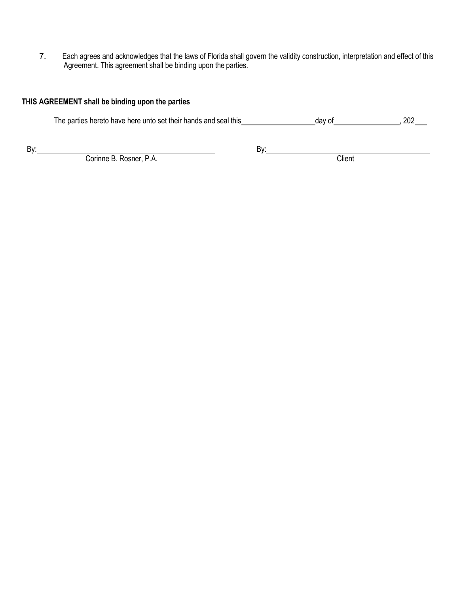7. Each agrees and acknowledges that the laws of Florida shall govern the validity construction, interpretation and effect of this Agreement. This agreement shall be binding upon the parties.

## **THIS AGREEMENT shall be binding upon the parties**

| The parties hereto have here unto set their hands and seal this | day of | 202 |
|-----------------------------------------------------------------|--------|-----|
|-----------------------------------------------------------------|--------|-----|

By: By:

Corinne B. Rosner, P.A. Client